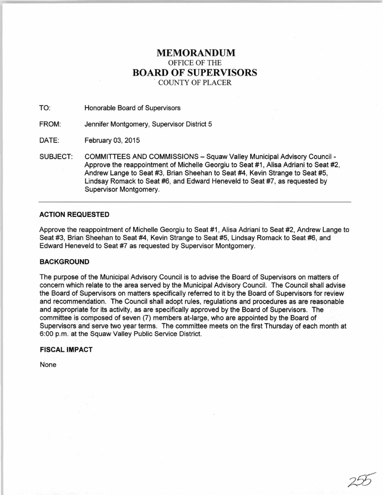# **MEMORANDUM**  OFFICE OF THE **BOARD OF SUPERVISORS** . COUNTY OF PLACER

TO: Honorable Board of Supervisors

FROM: Jennifer Montgomery, Supervisor District 5

DATE: February 03, 2015

SUBJECT: COMMITTEES AND COMMISSIONS - Squaw Valley Municipal Advisory Council -Approve the reappointment of Michelle Georgiu to Seat #1, Alisa Adriani to Seat #2, Andrew Lange to Seat #3, Brian Sheehan to Seat #4, Kevin Strange to Seat #5, Lindsay Romack to Seat #6, and Edward Heneveld to Seat #7, as requested by Supervisor Montgomery.

# **ACTION REQUESTED**

Approve the reappointment of Michelle Georgiu to Seat #1, Alisa Adriani to Seat #2, Andrew Lange to Seat #3, Brian Sheehan to Seat #4, Kevin Strange to Seat #5, Lindsay Romack to Seat #6, and Edward Heneveld to Seat #7 as requested by Supervisor Montgomery.

## **BACKGROUND**

The purpose of the Municipal Advisory Council is to advise the Board of Supervisors on matters of concern which relate to the area served by the Municipal Advisory Council. The Council shall advise the Board of Supervisors on matters specifically referred to it by the Board of Supervisors for review and recommendation. The Council shall adopt rules, regulations and procedures as are reasonable and appropriate for its activity, as are specifically approved by the Board of Supervisors. The committee is composed of seven (7) members at-large, who are appointed by the Board of Supervisors and serve two year terms. The committee meets on the first Thursday of each month at 6:00 p.m. at the Squaw Valley Public Service District.

# **FISCAL IMPACT**

None